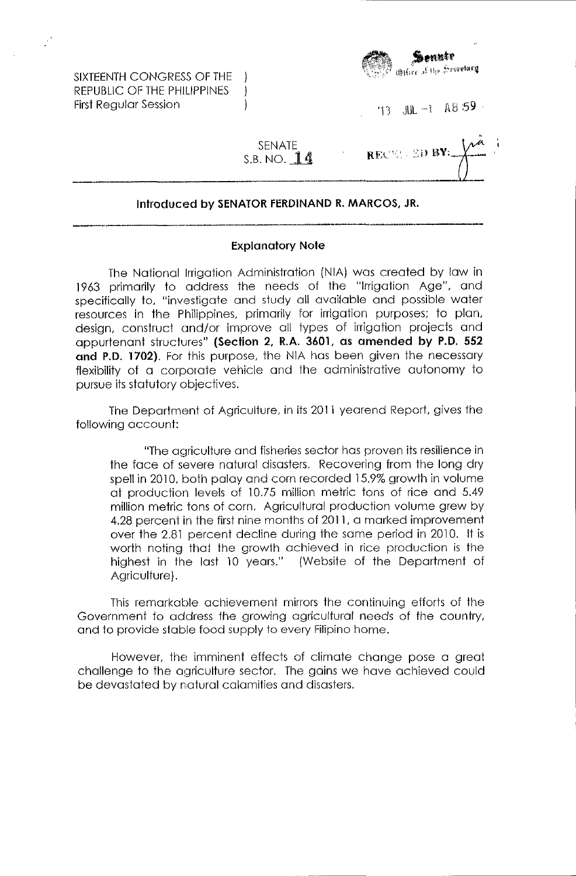SIXTEENTH CONGRESS OF THE REPUBLIC OF THE PHILIPPINES First Regular Session



'13 JUL -1 A8:59

RECEL ED BY:

SENATE S.B. NO.  $14$ 

 $\mathcal{L}$  $\mathbf{)}$ 

## Introduced by SENATOR FERDINAND R. MARCOS, JR.

## Explanatory Note

The National Irrigation Administration (NIA) was created by law in 1963 primarily to address the needs of the "Irrigation Age", and specifically to, "investigate and study all available and possible water resources in the Philippines, primarily for irrigation purposes; to plan, design, construct cmd/or improve all types of irrigation projects and appurtenant structures" (Section 2, R.A. 3601, as amended by P.O. 552 and P.D. 1702). For this purpose, the NIA has been given the necessary flexibility of a corporate vehicle and the administrative autonomy to pursue its statutory objectives.

The Department of Agriculture, in its 2011 yearend Report, gives the following account:

"The agriculture and fisheries sector has proven its resilience in the face of severe natural disasters. Recovering from the long dry spell in 2010, both palay and corn recorded 15.9% growth in volume at production levels of 10.75 million metric tons of rice and 5.49 million metric tons of corn. Agricultural production volume grew by 4.28 percent in the first nine months of 2011, a marked improvement over the 2.81 percent decline during the same period in 2010. It is worth noting that the growth achieved in rice production is the highest in the last 10 years." (Website of the Department of Agriculture).

This remarkable achievement mirrors the continuing efforts of the Government to address the growing agricultural needs of the country, and to provide stable food supply to every Filipino home.

However, the imminent effects of climate change pose a great challenge to the agriculture sector. The gains we have achieved could be devastated by natural calamities and disasters.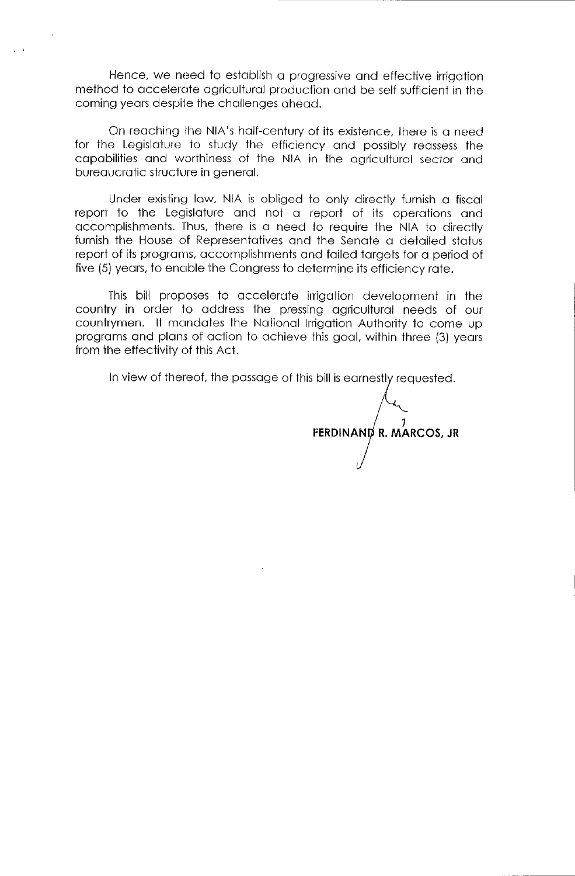Hence, we need to establish a progressive and effective irrigation method to accelerote agricultural production and be self sufficient in the coming years despite the challenges ahead.

On reoching the NIA's half-century of its existence, there is a need for the Legislature to study the efficiency ond possibly reassess the capabilities and worthiness of the NIA in the agricultural sector and bureaucratic structure in general.

Under existing law. NIA is obliged to only directly furnish a fiscal report to the Legislature and not a report of its operations and accomplishments. Thus, there is a need to require the NIA to directly furnish the House of Representatives and the Senate a detailed status report of its programs, accomplishments and failed targets for a period of five (5) years, to enable the Congress to determine its efficiency rate.

This bill proposes to accelerate irrigation development in the country in order to address the pressing agricultural needs of our countrymen. It mandates the National Irrigation Authority to come up programs and plans of action to achieve this goal, within three (3) years from the effectivity of this Act.

In view of thereof, the passage of this bill is earnestly requested.

 $\int$ **R. MARCOS, JR**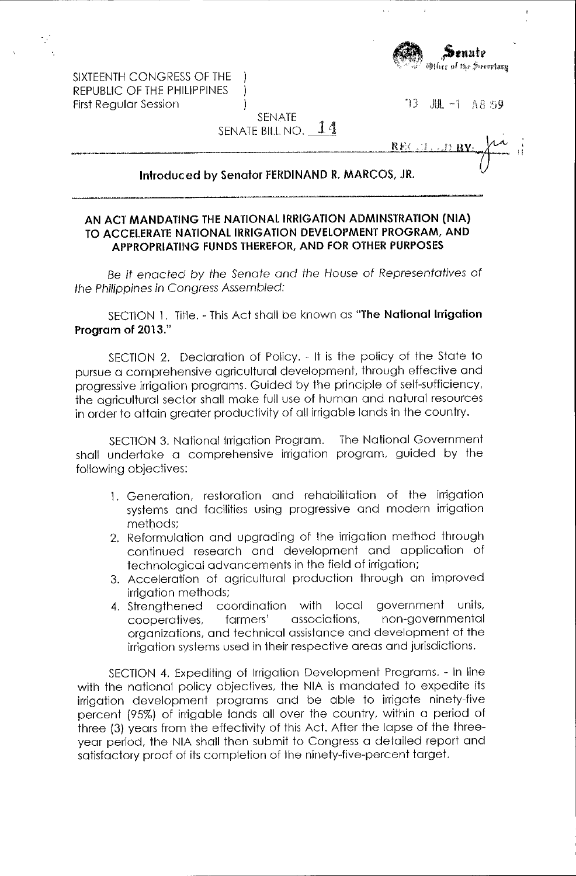

"'13 ,Jlt -I 1\ 8 59

SIXTEENTH CONGRESS OF THE REPUBLIC OF THE PHILIPPINES First Regular Session

| SENATE             |  |
|--------------------|--|
| SENATE BILL NO. 14 |  |

-1  $\mathbf{I}$ 

 $\frac{REC(1,1)RV}{V}$ 

## **Introduced by Senator fERDINAND R. MARCOS, JR.**

## **AN ACT MANDATING THE NATIONAL IRRIGATION ADMINSTRATION (NIA) TO ACCELERATE NATIONAL IRRIGATION DEVELOPMENT PROGRAM, AND APPROPRIATING FUNDS THEREFOR, AND FOR OTHER PURPOSES**

Be it enacted by the Senate and the House of Representatives of the Philippines in Congress Assembled:

SECTION 1. Title. - This Act shall be known as "The National Irrigation **Program of 2013."** 

SECTION 2. Deciaration of Policy. - It is the policy of the State to pursue a comprehensive agricultural development, through effective and progressive irrigation programs. Guided by the principle of self-sufficiency, the agricultural sedor shall make full use of human and natural resources in order to attain greater productivity of all irrigable lands in the country.

SECTION 3. Notional Irrigation Program. shall undertake a comprehensive irrigation program, guided by the following objectives: The National Government

- 1. Generation, restoration and rehabilitation of the irrigation systems and facilities using progressive and modern irrigation methods;
- 2. Reformulation and upgrading of the irrigation method through continued research and development and application of technological advancements in the field of irrigation;
- 3. Acceleration of agriculturol production through on improved irrigation methods;
- 4. Strengthened coordination with local government units, cooperatives, farmers' associations, non-governmental organizotions, ond technicol assistance ond development of the irrigation systems used in their respective areas and jurisdictions.

SECTION 4. Expediting of Irrigation Development Progroms. - In line with the national policy objectives, the NIA is mandated to expedite its irrigation development programs and be able to irrigate ninety-five percent (95%) of irrigable lands all over the country, within a period of three (3) years from the effectivity of this Act. After the lapse of the threeyear period, the NIA shall then submit to Congress a detailed report and satisfactory proof of its completion of the ninety-five-percent target.